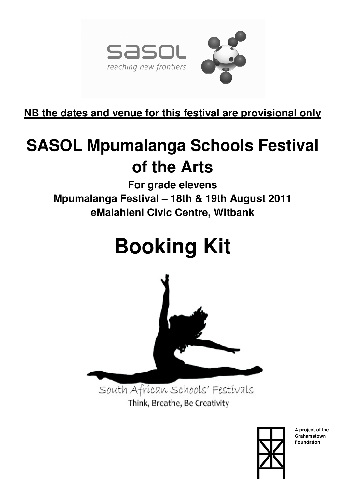

**NB the dates and venue for this festival are provisional only**

# **SASOL Mpumalanga Schools Festival of the Arts**

**For grade elevens Mpumalanga Festival – 18th & 19th August 2011 eMalahleni Civic Centre, Witbank** 

# **Booking Kit**



South African Schools' Festivals Think, Breathe, Be Creativity



**A project of the Grahamstown Foundation**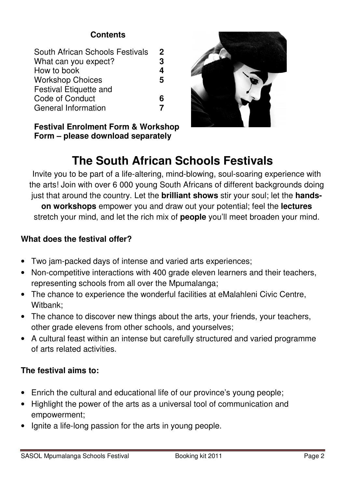### **Contents**

| South African Schools Festivals | $\mathbf 2$ |
|---------------------------------|-------------|
| What can you expect?            | 3           |
| How to book                     | 4           |
| <b>Workshop Choices</b>         | 5           |
| <b>Festival Etiquette and</b>   |             |
| Code of Conduct                 | Բ           |
| <b>General Information</b>      |             |

**Festival Enrolment Form & Workshop Form – please download separately** 



# **The South African Schools Festivals**

Invite you to be part of a life-altering, mind-blowing, soul-soaring experience with the arts! Join with over 6 000 young South Africans of different backgrounds doing just that around the country. Let the **brilliant shows** stir your soul; let the **handson workshops** empower you and draw out your potential; feel the **lectures** stretch your mind, and let the rich mix of **people** you'll meet broaden your mind.

### **What does the festival offer?**

- Two jam-packed days of intense and varied arts experiences;
- Non-competitive interactions with 400 grade eleven learners and their teachers, representing schools from all over the Mpumalanga;
- The chance to experience the wonderful facilities at eMalahleni Civic Centre, Witbank;
- The chance to discover new things about the arts, your friends, your teachers, other grade elevens from other schools, and yourselves;
- A cultural feast within an intense but carefully structured and varied programme of arts related activities.

### **The festival aims to:**

- Enrich the cultural and educational life of our province's young people;
- Highlight the power of the arts as a universal tool of communication and empowerment;
- Ignite a life-long passion for the arts in young people.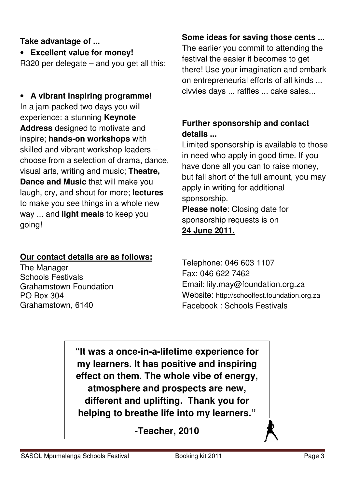# **Take advantage of ...**

• **Excellent value for money!** 

R320 per delegate – and you get all this:

• **A vibrant inspiring programme!** In a jam-packed two days you will experience: a stunning **Keynote Address** designed to motivate and inspire; **hands-on workshops** with skilled and vibrant workshop leaders – choose from a selection of drama, dance, visual arts, writing and music; **Theatre, Dance and Music** that will make you laugh, cry, and shout for more; **lectures** to make you see things in a whole new way ... and **light meals** to keep you going!

# **Our contact details are as follows:**

The Manager Schools Festivals Grahamstown Foundation PO Box 304 Grahamstown, 6140

# **Some ideas for saving those cents ...**

The earlier you commit to attending the festival the easier it becomes to get there! Use your imagination and embark on entrepreneurial efforts of all kinds ... civvies days ... raffles ... cake sales...

# **Further sponsorship and contact details ...**

Limited sponsorship is available to those in need who apply in good time. If you have done all you can to raise money, but fall short of the full amount, you may apply in writing for additional sponsorship.

**Please note**: Closing date for sponsorship requests is on **24 June 2011.**

Telephone: 046 603 1107 Fax: 046 622 7462 Email: lily.may@foundation.org.za Website: http://schoolfest.foundation.org.za Facebook : Schools Festivals

**"It was a once-in-a-lifetime experience for my learners. It has positive and inspiring effect on them. The whole vibe of energy, atmosphere and prospects are new, different and uplifting. Thank you for helping to breathe life into my learners."** 

**-Teacher, 2010**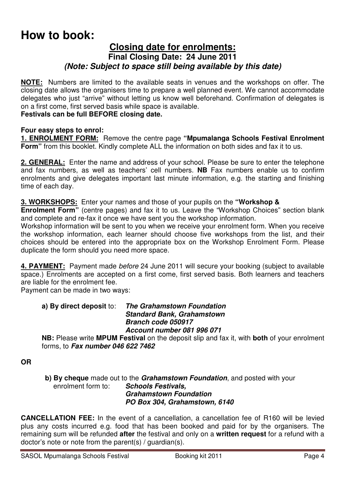# **How to book:**

#### **Closing date for enrolments: Final Closing Date: 24 June 2011**  *(Note: Subject to space still being available by this date)*

**NOTE:** Numbers are limited to the available seats in venues and the workshops on offer. The closing date allows the organisers time to prepare a well planned event. We cannot accommodate delegates who just "arrive" without letting us know well beforehand. Confirmation of delegates is on a first come, first served basis while space is available.

#### **Festivals can be full BEFORE closing date.**

#### **Four easy steps to enrol:**

**1. ENROLMENT FORM:** Remove the centre page **"Mpumalanga Schools Festival Enrolment Form"** from this booklet. Kindly complete ALL the information on both sides and fax it to us.

**2. GENERAL:** Enter the name and address of your school. Please be sure to enter the telephone and fax numbers, as well as teachers' cell numbers. **NB** Fax numbers enable us to confirm enrolments and give delegates important last minute information, e.g. the starting and finishing time of each day.

#### **3. WORKSHOPS:** Enter your names and those of your pupils on the **"Workshop &**

**Enrolment Form**" (centre pages) and fax it to us. Leave the "Workshop Choices" section blank and complete and re-fax it once we have sent you the workshop information.

Workshop information will be sent to you when we receive your enrolment form. When you receive the workshop information, each learner should choose five workshops from the list, and their choices should be entered into the appropriate box on the Workshop Enrolment Form. Please duplicate the form should you need more space.

**4. PAYMENT:** Payment made *before* 24 June 2011 will secure your booking (subject to available space.) Enrolments are accepted on a first come, first served basis. Both learners and teachers are liable for the enrolment fee.

Payment can be made in two ways:

#### **a) By direct deposit** to: *The Grahamstown Foundation Standard Bank, Grahamstown Branch code 050917 Account number 081 996 071*

**NB:** Please write **MPUM Festival** on the deposit slip and fax it, with **both** of your enrolment forms, to *Fax number 046 622 7462* 

**OR**

 **b) By cheque** made out to the *Grahamstown Foundation*, and posted with your enrolment form to: *Schools Festivals, Grahamstown Foundation PO Box 304, Grahamstown, 6140* 

**CANCELLATION FEE:** In the event of a cancellation, a cancellation fee of R160 will be levied plus any costs incurred e.g. food that has been booked and paid for by the organisers. The remaining sum will be refunded **after** the festival and only on a **written request** for a refund with a doctor's note or note from the parent(s) / guardian(s).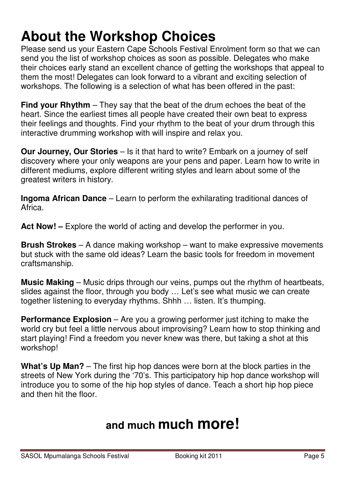# **About the Workshop Choices**

Please send us your Eastern Cape Schools Festival Enrolment form so that we can send you the list of workshop choices as soon as possible. Delegates who make their choices early stand an excellent chance of getting the workshops that appeal to them the most! Delegates can look forward to a vibrant and exciting selection of workshops. The following is a selection of what has been offered in the past:

**Find your Rhythm** – They say that the beat of the drum echoes the beat of the heart. Since the earliest times all people have created their own beat to express their feelings and thoughts. Find your rhythm to the beat of your drum through this interactive drumming workshop with will inspire and relax you.

**Our Journey, Our Stories** – Is it that hard to write? Embark on a journey of self discovery where your only weapons are your pens and paper. Learn how to write in different mediums, explore different writing styles and learn about some of the greatest writers in history.

**Ingoma African Dance** – Learn to perform the exhilarating traditional dances of Africa.

Act Now! – Explore the world of acting and develop the performer in you.

**Brush Strokes** – A dance making workshop – want to make expressive movements but stuck with the same old ideas? Learn the basic tools for freedom in movement craftsmanship.

**Music Making** – Music drips through our veins, pumps out the rhythm of heartbeats, slides against the floor, through you body … Let's see what music we can create together listening to everyday rhythms. Shhh … listen. It's thumping.

**Performance Explosion** – Are you a growing performer just itching to make the world cry but feel a little nervous about improvising? Learn how to stop thinking and start playing! Find a freedom you never knew was there, but taking a shot at this workshop!

What's Up Man? – The first hip hop dances were born at the block parties in the streets of New York during the '70's. This participatory hip hop dance workshop will introduce you to some of the hip hop styles of dance. Teach a short hip hop piece and then hit the floor.

# **and much much more!**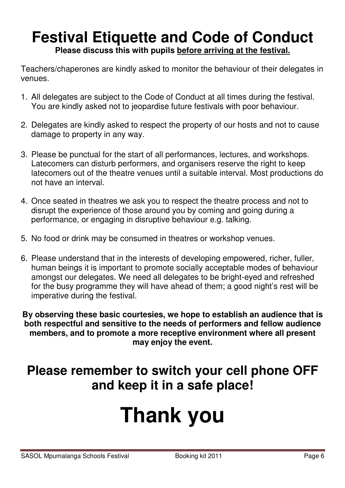# **Festival Etiquette and Code of Conduct Please discuss this with pupils before arriving at the festival.**

Teachers/chaperones are kindly asked to monitor the behaviour of their delegates in venues.

- 1. All delegates are subject to the Code of Conduct at all times during the festival. You are kindly asked not to jeopardise future festivals with poor behaviour.
- 2. Delegates are kindly asked to respect the property of our hosts and not to cause damage to property in any way.
- 3. Please be punctual for the start of all performances, lectures, and workshops. Latecomers can disturb performers, and organisers reserve the right to keep latecomers out of the theatre venues until a suitable interval. Most productions do not have an interval.
- 4. Once seated in theatres we ask you to respect the theatre process and not to disrupt the experience of those around you by coming and going during a performance, or engaging in disruptive behaviour e.g. talking.
- 5. No food or drink may be consumed in theatres or workshop venues.
- 6. Please understand that in the interests of developing empowered, richer, fuller, human beings it is important to promote socially acceptable modes of behaviour amongst our delegates. We need all delegates to be bright-eyed and refreshed for the busy programme they will have ahead of them; a good night's rest will be imperative during the festival.

**By observing these basic courtesies, we hope to establish an audience that is both respectful and sensitive to the needs of performers and fellow audience members, and to promote a more receptive environment where all present may enjoy the event.** 

# **Please remember to switch your cell phone OFF and keep it in a safe place!**

# **Thank you**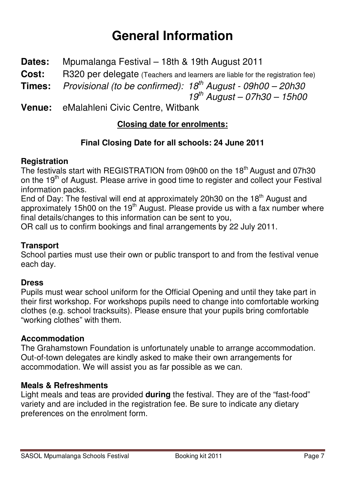# **General Information**

- **Dates:** Mpumalanga Festival 18th & 19th August 2011
- **Cost:** R320 per delegate (Teachers and learners are liable for the registration fee)
- **Times:** *Provisional (to be confirmed): 18th August 09h00 20h30*

 *19th August – 07h30 – 15h00* 

**Venue:** eMalahleni Civic Centre, Witbank

# **Closing date for enrolments:**

# **Final Closing Date for all schools: 24 June 2011**

# **Registration**

The festivals start with REGISTRATION from 09h00 on the 18<sup>th</sup> August and 07h30 on the 19<sup>th</sup> of August. Please arrive in good time to register and collect your Festival information packs.

End of Day: The festival will end at approximately 20h30 on the 18<sup>th</sup> August and approximately 15h00 on the 19<sup>th</sup> August. Please provide us with a fax number where final details/changes to this information can be sent to you,

OR call us to confirm bookings and final arrangements by 22 July 2011.

### **Transport**

School parties must use their own or public transport to and from the festival venue each day.

# **Dress**

Pupils must wear school uniform for the Official Opening and until they take part in their first workshop. For workshops pupils need to change into comfortable working clothes (e.g. school tracksuits). Please ensure that your pupils bring comfortable "working clothes" with them.

### **Accommodation**

The Grahamstown Foundation is unfortunately unable to arrange accommodation. Out-of-town delegates are kindly asked to make their own arrangements for accommodation. We will assist you as far possible as we can.

### **Meals & Refreshments**

Light meals and teas are provided **during** the festival. They are of the "fast-food" variety and are included in the registration fee. Be sure to indicate any dietary preferences on the enrolment form.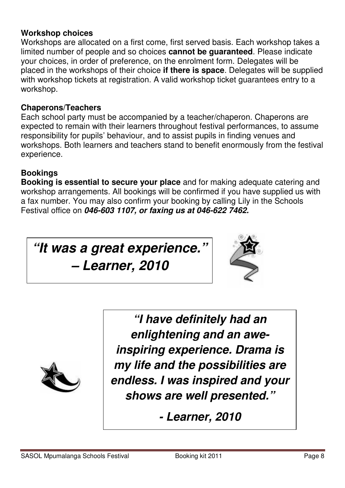#### **Workshop choices**

Workshops are allocated on a first come, first served basis. Each workshop takes a limited number of people and so choices **cannot be guaranteed**. Please indicate your choices, in order of preference, on the enrolment form. Delegates will be placed in the workshops of their choice **if there is space**. Delegates will be supplied with workshop tickets at registration. A valid workshop ticket guarantees entry to a workshop.

#### **Chaperons/Teachers**

Each school party must be accompanied by a teacher/chaperon. Chaperons are expected to remain with their learners throughout festival performances, to assume responsibility for pupils' behaviour, and to assist pupils in finding venues and workshops. Both learners and teachers stand to benefit enormously from the festival experience.

### **Bookings**

**Booking is essential to secure your place** and for making adequate catering and workshop arrangements. All bookings will be confirmed if you have supplied us with a fax number. You may also confirm your booking by calling Lily in the Schools Festival office on *046-603 1107, or faxing us at 046-622 7462.* 

# *"It was a great experience. – Learner, 2010*





*"I have definitely had an enlightening and an aweinspiring experience. Drama is my life and the possibilities are endless. I was inspired and your shows are well presented."* 

*- Learner, 2010*